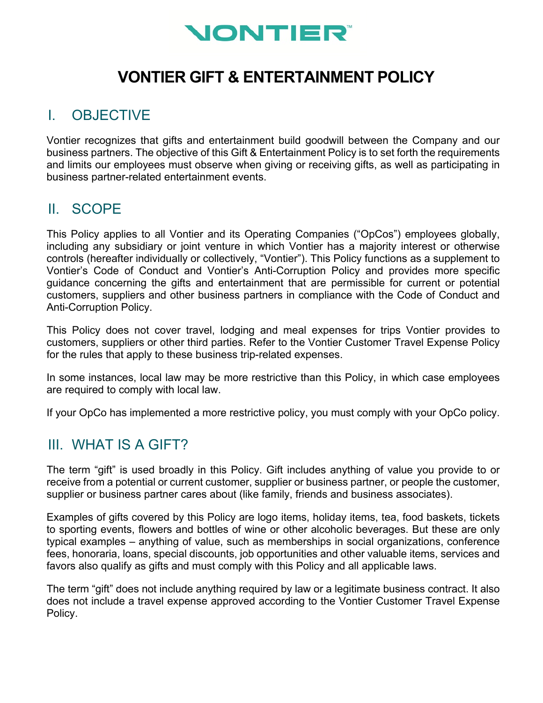

# **VONTIER GIFT & ENTERTAINMENT POLICY**

## I. OBJECTIVE

Vontier recognizes that gifts and entertainment build goodwill between the Company and our business partners. The objective of this Gift & Entertainment Policy is to set forth the requirements and limits our employees must observe when giving or receiving gifts, as well as participating in business partner-related entertainment events.

## II. SCOPE

This Policy applies to all Vontier and its Operating Companies ("OpCos") employees globally, including any subsidiary or joint venture in which Vontier has a majority interest or otherwise controls (hereafter individually or collectively, "Vontier"). This Policy functions as a supplement to Vontier's Code of Conduct and Vontier's Anti-Corruption Policy and provides more specific guidance concerning the gifts and entertainment that are permissible for current or potential customers, suppliers and other business partners in compliance with the Code of Conduct and Anti-Corruption Policy.

This Policy does not cover travel, lodging and meal expenses for trips Vontier provides to customers, suppliers or other third parties. Refer to the Vontier Customer Travel Expense Policy for the rules that apply to these business trip-related expenses.

In some instances, local law may be more restrictive than this Policy, in which case employees are required to comply with local law.

If your OpCo has implemented a more restrictive policy, you must comply with your OpCo policy.

## III. WHAT IS A GIFT?

The term "gift" is used broadly in this Policy. Gift includes anything of value you provide to or receive from a potential or current customer, supplier or business partner, or people the customer, supplier or business partner cares about (like family, friends and business associates).

Examples of gifts covered by this Policy are logo items, holiday items, tea, food baskets, tickets to sporting events, flowers and bottles of wine or other alcoholic beverages. But these are only typical examples – anything of value, such as memberships in social organizations, conference fees, honoraria, loans, special discounts, job opportunities and other valuable items, services and favors also qualify as gifts and must comply with this Policy and all applicable laws.

The term "gift" does not include anything required by law or a legitimate business contract. It also does not include a travel expense approved according to the Vontier Customer Travel Expense Policy.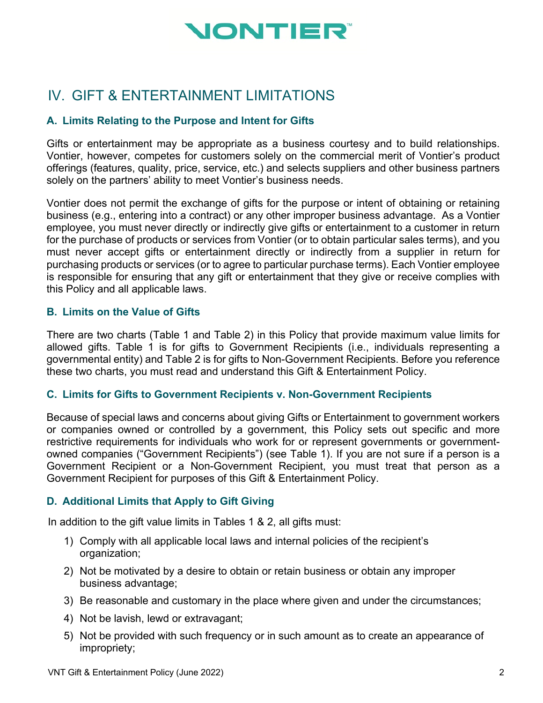

## IV. GIFT & ENTERTAINMENT LIMITATIONS

### **A. Limits Relating to the Purpose and Intent for Gifts**

Gifts or entertainment may be appropriate as a business courtesy and to build relationships. Vontier, however, competes for customers solely on the commercial merit of Vontier's product offerings (features, quality, price, service, etc.) and selects suppliers and other business partners solely on the partners' ability to meet Vontier's business needs.

Vontier does not permit the exchange of gifts for the purpose or intent of obtaining or retaining business (e.g., entering into a contract) or any other improper business advantage. As a Vontier employee, you must never directly or indirectly give gifts or entertainment to a customer in return for the purchase of products or services from Vontier (or to obtain particular sales terms), and you must never accept gifts or entertainment directly or indirectly from a supplier in return for purchasing products or services (or to agree to particular purchase terms). Each Vontier employee is responsible for ensuring that any gift or entertainment that they give or receive complies with this Policy and all applicable laws.

#### **B. Limits on the Value of Gifts**

There are two charts (Table 1 and Table 2) in this Policy that provide maximum value limits for allowed gifts. Table 1 is for gifts to Government Recipients (i.e., individuals representing a governmental entity) and Table 2 is for gifts to Non-Government Recipients. Before you reference these two charts, you must read and understand this Gift & Entertainment Policy.

#### **C. Limits for Gifts to Government Recipients v. Non-Government Recipients**

Because of special laws and concerns about giving Gifts or Entertainment to government workers or companies owned or controlled by a government, this Policy sets out specific and more restrictive requirements for individuals who work for or represent governments or governmentowned companies ("Government Recipients") (see Table 1). If you are not sure if a person is a Government Recipient or a Non-Government Recipient, you must treat that person as a Government Recipient for purposes of this Gift & Entertainment Policy.

### **D. Additional Limits that Apply to Gift Giving**

In addition to the gift value limits in Tables 1 & 2, all gifts must:

- 1) Comply with all applicable local laws and internal policies of the recipient's organization;
- 2) Not be motivated by a desire to obtain or retain business or obtain any improper business advantage;
- 3) Be reasonable and customary in the place where given and under the circumstances;
- 4) Not be lavish, lewd or extravagant;
- 5) Not be provided with such frequency or in such amount as to create an appearance of impropriety;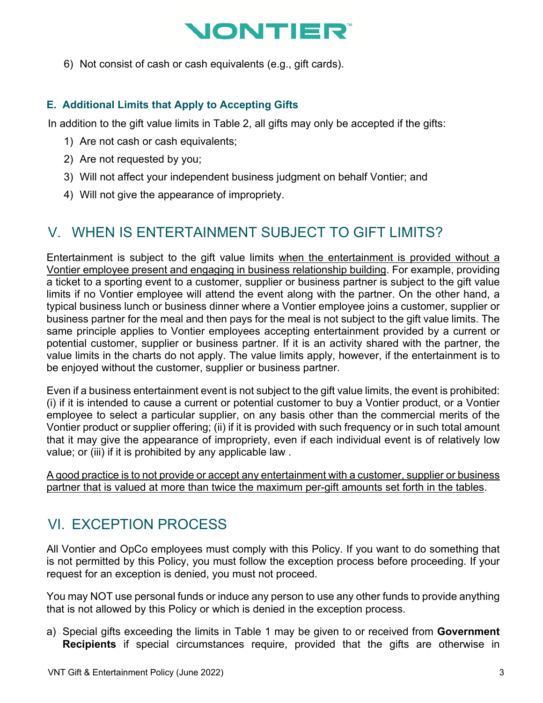# NONTIER

6) Not consist of cash or cash equivalents (e.g., gift cards).

### **E. Additional Limits that Apply to Accepting Gifts**

In addition to the gift value limits in Table 2, all gifts may only be accepted if the gifts:

- 1) Are not cash or cash equivalents;
- 2) Are not requested by you;
- 3) Will not affect your independent business judgment on behalf Vontier; and
- 4) Will not give the appearance of impropriety.

## V. WHEN IS ENTERTAINMENT SUBJECT TO GIFT LIMITS?

Entertainment is subject to the gift value limits when the entertainment is provided without a Vontier employee present and engaging in business relationship building. For example, providing a ticket to a sporting event to a customer, supplier or business partner is subject to the gift value limits if no Vontier employee will attend the event along with the partner. On the other hand, a typical business lunch or business dinner where a Vontier employee joins a customer, supplier or business partner for the meal and then pays for the meal is not subject to the gift value limits. The same principle applies to Vontier employees accepting entertainment provided by a current or potential customer, supplier or business partner. If it is an activity shared with the partner, the value limits in the charts do not apply. The value limits apply, however, if the entertainment is to be enjoyed without the customer, supplier or business partner.

Even if a business entertainment event is not subject to the gift value limits, the event is prohibited: (i) if it is intended to cause a current or potential customer to buy a Vontier product, or a Vontier employee to select a particular supplier, on any basis other than the commercial merits of the Vontier product or supplier offering; (ii) if it is provided with such frequency or in such total amount that it may give the appearance of impropriety, even if each individual event is of relatively low value; or (iii) if it is prohibited by any applicable law .

A good practice is to not provide or accept any entertainment with a customer, supplier or business partner that is valued at more than twice the maximum per-gift amounts set forth in the tables.

# VI. EXCEPTION PROCESS

All Vontier and OpCo employees must comply with this Policy. If you want to do something that is not permitted by this Policy, you must follow the exception process before proceeding. If your request for an exception is denied, you must not proceed.

You may NOT use personal funds or induce any person to use any other funds to provide anything that is not allowed by this Policy or which is denied in the exception process.

a) Special gifts exceeding the limits in Table 1 may be given to or received from **Government Recipients** if special circumstances require, provided that the gifts are otherwise in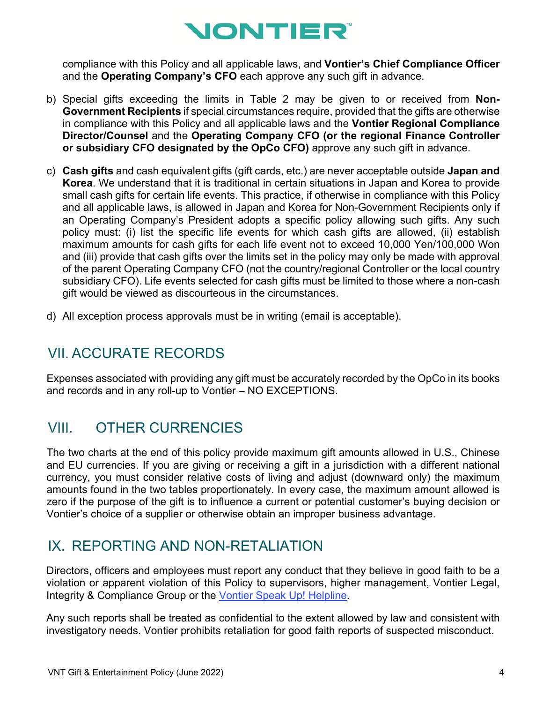# **NONTIER®**

compliance with this Policy and all applicable laws, and **Vontier's Chief Compliance Officer** and the **Operating Company's CFO** each approve any such gift in advance.

- b) Special gifts exceeding the limits in Table 2 may be given to or received from **Non-Government Recipients** if special circumstances require, provided that the gifts are otherwise in compliance with this Policy and all applicable laws and the **Vontier Regional Compliance Director/Counsel** and the **Operating Company CFO (or the regional Finance Controller or subsidiary CFO designated by the OpCo CFO)** approve any such gift in advance.
- c) **Cash gifts** and cash equivalent gifts (gift cards, etc.) are never acceptable outside **Japan and Korea**. We understand that it is traditional in certain situations in Japan and Korea to provide small cash gifts for certain life events. This practice, if otherwise in compliance with this Policy and all applicable laws, is allowed in Japan and Korea for Non-Government Recipients only if an Operating Company's President adopts a specific policy allowing such gifts. Any such policy must: (i) list the specific life events for which cash gifts are allowed, (ii) establish maximum amounts for cash gifts for each life event not to exceed 10,000 Yen/100,000 Won and (iii) provide that cash gifts over the limits set in the policy may only be made with approval of the parent Operating Company CFO (not the country/regional Controller or the local country subsidiary CFO). Life events selected for cash gifts must be limited to those where a non-cash gift would be viewed as discourteous in the circumstances.
- d) All exception process approvals must be in writing (email is acceptable).

# VII. ACCURATE RECORDS

Expenses associated with providing any gift must be accurately recorded by the OpCo in its books and records and in any roll-up to Vontier – NO EXCEPTIONS.

# VIII. OTHER CURRENCIES

The two charts at the end of this policy provide maximum gift amounts allowed in U.S., Chinese and EU currencies. If you are giving or receiving a gift in a jurisdiction with a different national currency, you must consider relative costs of living and adjust (downward only) the maximum amounts found in the two tables proportionately. In every case, the maximum amount allowed is zero if the purpose of the gift is to influence a current or potential customer's buying decision or Vontier's choice of a supplier or otherwise obtain an improper business advantage.

## IX. REPORTING AND NON-RETALIATION

Directors, officers and employees must report any conduct that they believe in good faith to be a violation or apparent violation of this Policy to supervisors, higher management, Vontier Legal, Integrity & Compliance Group or the [Vontier Speak Up! Helpline.](https://speakup.vontier.com/)

Any such reports shall be treated as confidential to the extent allowed by law and consistent with investigatory needs. Vontier prohibits retaliation for good faith reports of suspected misconduct.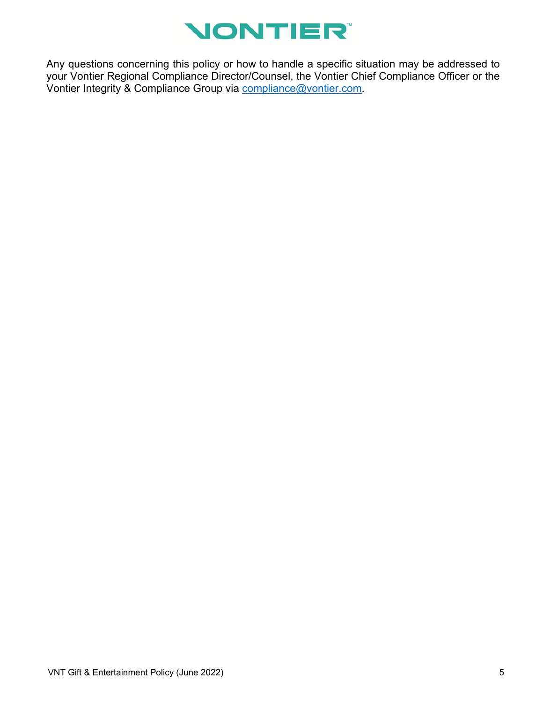

Any questions concerning this policy or how to handle a specific situation may be addressed to your Vontier Regional Compliance Director/Counsel, the Vontier Chief Compliance Officer or the Vontier Integrity & Compliance Group via [compliance@vontier.com.](mailto:compliance@vontier.com)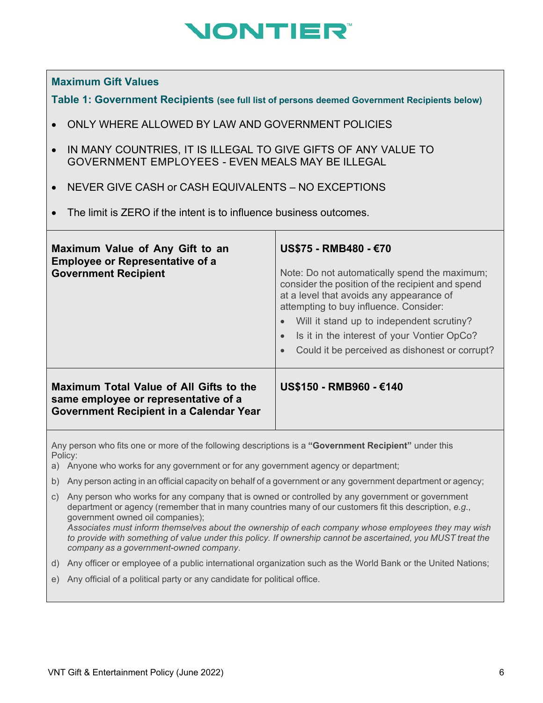# NONTIER®

#### **Maximum Gift Values**

**Table 1: Government Recipients (see full list of persons deemed Government Recipients below)**

- ONLY WHERE ALLOWED BY LAW AND GOVERNMENT POLICIES
- IN MANY COUNTRIES, IT IS ILLEGAL TO GIVE GIFTS OF ANY VALUE TO GOVERNMENT EMPLOYEES - EVEN MEALS MAY BE ILLEGAL
- NEVER GIVE CASH or CASH EQUIVALENTS NO EXCEPTIONS
- The limit is ZERO if the intent is to influence business outcomes.

| Maximum Value of Any Gift to an<br><b>Employee or Representative of a</b><br><b>Government Recipient</b>                          | US\$75 - RMB480 - €70<br>Note: Do not automatically spend the maximum;<br>consider the position of the recipient and spend<br>at a level that avoids any appearance of<br>attempting to buy influence. Consider:<br>Will it stand up to independent scrutiny?<br>$\bullet$<br>Is it in the interest of your Vontier OpCo?<br>$\bullet$<br>Could it be perceived as dishonest or corrupt? |
|-----------------------------------------------------------------------------------------------------------------------------------|------------------------------------------------------------------------------------------------------------------------------------------------------------------------------------------------------------------------------------------------------------------------------------------------------------------------------------------------------------------------------------------|
| Maximum Total Value of All Gifts to the<br>same employee or representative of a<br><b>Government Recipient in a Calendar Year</b> | US\$150 - RMB960 - €140                                                                                                                                                                                                                                                                                                                                                                  |

Any person who fits one or more of the following descriptions is a **"Government Recipient"** under this Policy:

- a) Anyone who works for any government or for any government agency or department;
- b) Any person acting in an official capacity on behalf of a government or any government department or agency;
- c) Any person who works for any company that is owned or controlled by any government or government department or agency (remember that in many countries many of our customers fit this description, *e.g*., government owned oil companies); *Associates must inform themselves about the ownership of each company whose employees they may wish to provide with something of value under this policy. If ownership cannot be ascertained, you MUST treat the*

*company as a government-owned company*.

- d) Any officer or employee of a public international organization such as the World Bank or the United Nations;
- e) Any official of a political party or any candidate for political office.